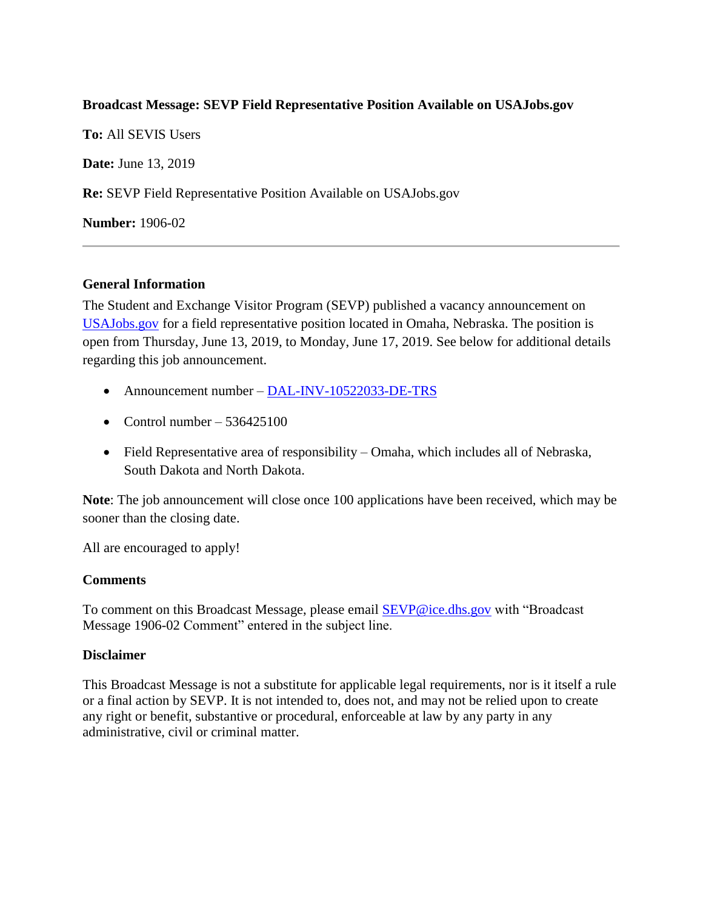## **Broadcast Message: SEVP Field Representative Position Available on USAJobs.gov**

**To:** All SEVIS Users **Date:** June 13, 2019 **Re:** SEVP Field Representative Position Available on USAJobs.gov **Number:** 1906-02

## **General Information**

The Student and Exchange Visitor Program (SEVP) published a vacancy announcement on [USAJobs.gov](https://www.usajobs.gov/) for a field representative position located in Omaha, Nebraska. The position is open from Thursday, June 13, 2019, to Monday, June 17, 2019. See below for additional details regarding this job announcement.

- Announcement number [DAL-INV-10522033-DE-TRS](https://www.usajobs.gov/GetJob/ViewDetails/536425100)
- Control number  $536425100$
- Field Representative area of responsibility Omaha, which includes all of Nebraska, South Dakota and North Dakota.

**Note**: The job announcement will close once 100 applications have been received, which may be sooner than the closing date.

All are encouraged to apply!

## **Comments**

To comment on this Broadcast Message, please email [SEVP@ice.dhs.gov](mailto:SEVP@ice.dhs.gov) with "Broadcast Message 1906-02 Comment" entered in the subject line.

## **Disclaimer**

This Broadcast Message is not a substitute for applicable legal requirements, nor is it itself a rule or a final action by SEVP. It is not intended to, does not, and may not be relied upon to create any right or benefit, substantive or procedural, enforceable at law by any party in any administrative, civil or criminal matter.